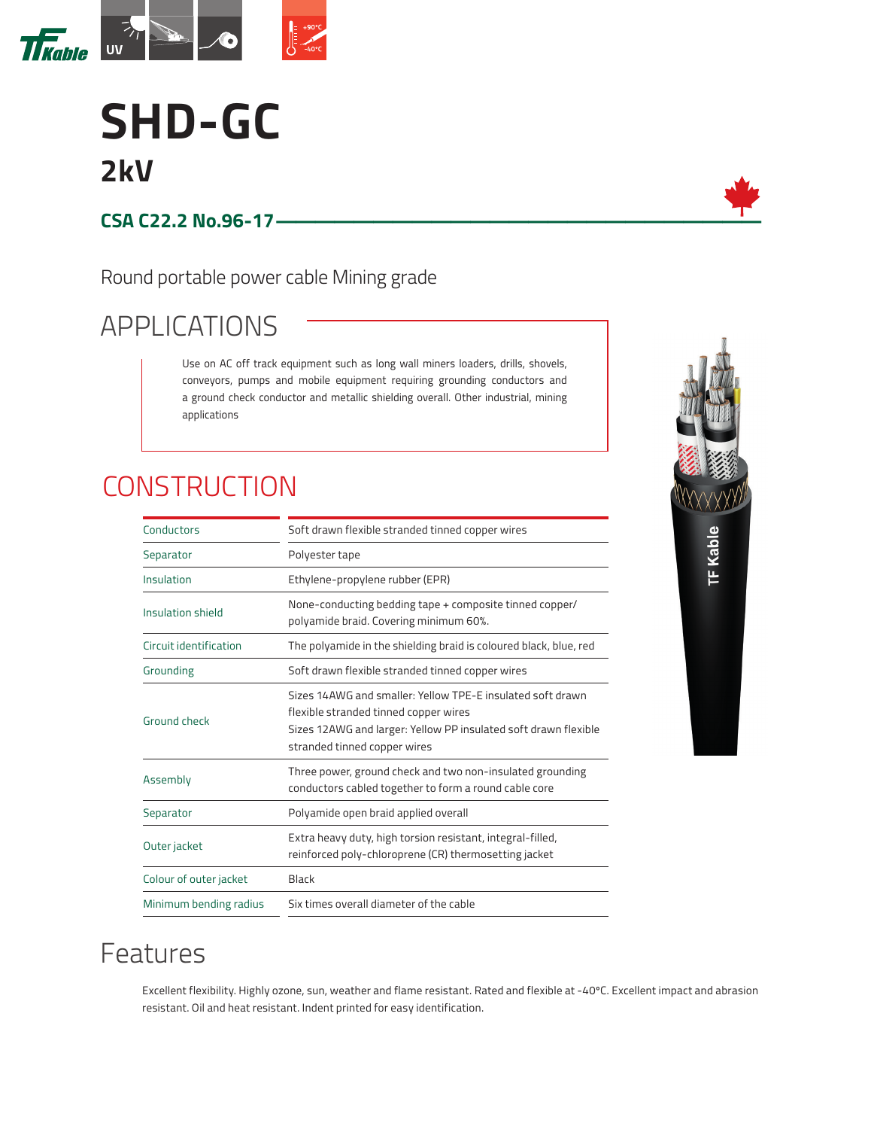

# **SHD-GC 2kV**

#### **CSA C22.2 No.96-17—————————————————————————**

Round portable power cable Mining grade

# APPLICATIONS

Use on AC off track equipment such as long wall miners loaders, drills, shovels, conveyors, pumps and mobile equipment requiring grounding conductors and a ground check conductor and metallic shielding overall. Other industrial, mining applications

# **CONSTRUCTION**

| Conductors             | Soft drawn flexible stranded tinned copper wires                                                                                                                                                       |  |  |  |  |  |  |  |
|------------------------|--------------------------------------------------------------------------------------------------------------------------------------------------------------------------------------------------------|--|--|--|--|--|--|--|
| Separator              | Polyester tape                                                                                                                                                                                         |  |  |  |  |  |  |  |
| Insulation             | Ethylene-propylene rubber (EPR)                                                                                                                                                                        |  |  |  |  |  |  |  |
| Insulation shield      | None-conducting bedding tape + composite tinned copper/<br>polyamide braid. Covering minimum 60%.                                                                                                      |  |  |  |  |  |  |  |
| Circuit identification | The polyamide in the shielding braid is coloured black, blue, red                                                                                                                                      |  |  |  |  |  |  |  |
| Grounding              | Soft drawn flexible stranded tinned copper wires                                                                                                                                                       |  |  |  |  |  |  |  |
| Ground check           | Sizes 14AWG and smaller: Yellow TPE-E insulated soft drawn<br>flexible stranded tinned copper wires<br>Sizes 12AWG and larger: Yellow PP insulated soft drawn flexible<br>stranded tinned copper wires |  |  |  |  |  |  |  |
| Assembly               | Three power, ground check and two non-insulated grounding<br>conductors cabled together to form a round cable core                                                                                     |  |  |  |  |  |  |  |
| Separator              | Polyamide open braid applied overall                                                                                                                                                                   |  |  |  |  |  |  |  |
| Outer jacket           | Extra heavy duty, high torsion resistant, integral-filled,<br>reinforced poly-chloroprene (CR) thermosetting jacket                                                                                    |  |  |  |  |  |  |  |
| Colour of outer jacket | Black                                                                                                                                                                                                  |  |  |  |  |  |  |  |
| Minimum bending radius | Six times overall diameter of the cable                                                                                                                                                                |  |  |  |  |  |  |  |



#### Features

Excellent flexibility. Highly ozone, sun, weather and flame resistant. Rated and flexible at -40ºC. Excellent impact and abrasion resistant. Oil and heat resistant. Indent printed for easy identification.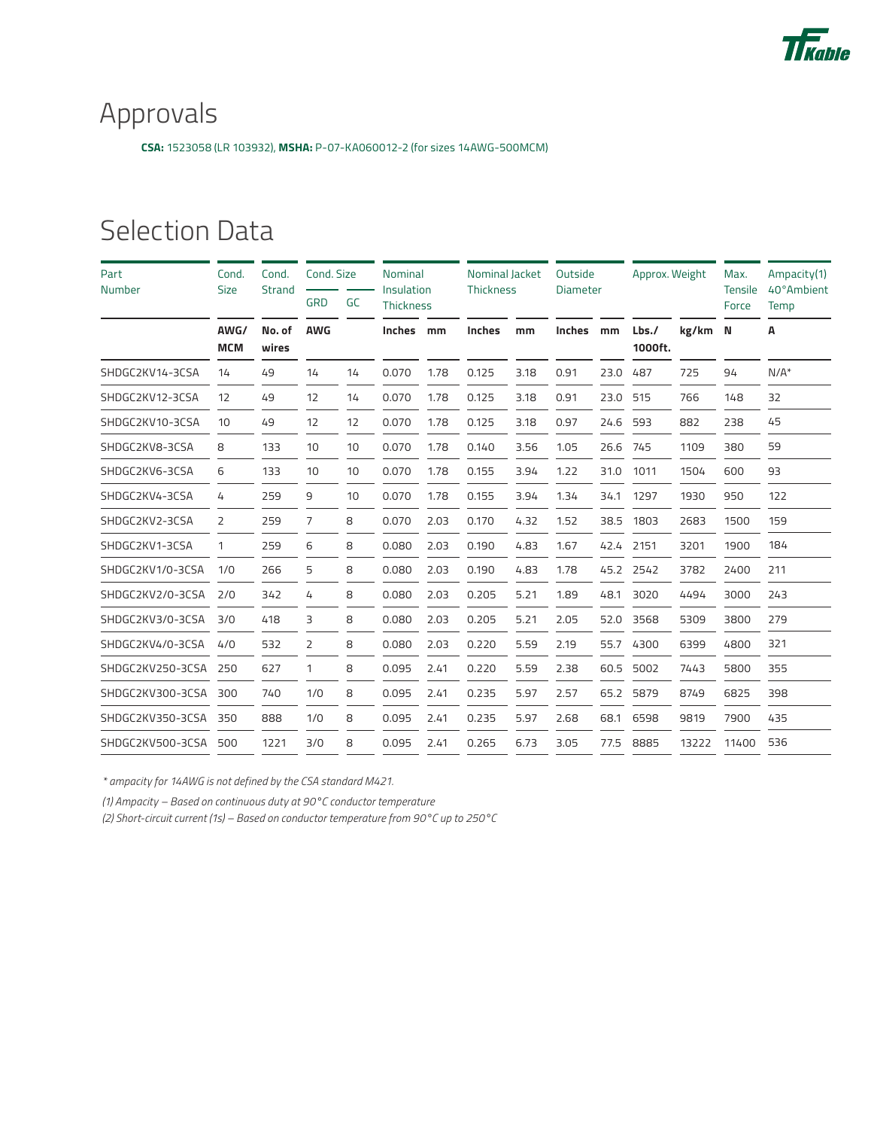

## Approvals

**CSA:** 1523058 (LR 103932), **MSHA:** P-07-KA060012-2 (for sizes 14AWG-500MCM)

#### Selection Data

| Part<br>Number   | Cond.<br><b>Size</b> | Cond.<br>Strand<br>No. of<br>wires | Cond. Size     |    | Nominal<br>Insulation |      | Nominal Jacket<br><b>Thickness</b> |      | Outside<br><b>Diameter</b> |      | Approx. Weight  |         | Max.<br><b>Tensile</b> | Ampacity(1)<br>40°Ambient |
|------------------|----------------------|------------------------------------|----------------|----|-----------------------|------|------------------------------------|------|----------------------------|------|-----------------|---------|------------------------|---------------------------|
|                  |                      |                                    | <b>GRD</b>     | GC | <b>Thickness</b>      |      |                                    |      |                            |      |                 |         | Force                  | Temp                      |
|                  | AWG/<br><b>MCM</b>   |                                    | <b>AWG</b>     |    | Inches                | mm   | Inches                             | mm   | <b>Inches</b>              | mm   | Lbs.<br>1000ft. | kg/km N |                        | A                         |
| SHDGC2KV14-3CSA  | 14                   | 49                                 | 14             | 14 | 0.070                 | 1.78 | 0.125                              | 3.18 | 0.91                       | 23.0 | 487             | 725     | 94                     | $N/A^*$                   |
| SHDGC2KV12-3CSA  | 12                   | 49                                 | 12             | 14 | 0.070                 | 1.78 | 0.125                              | 3.18 | 0.91                       | 23.0 | 515             | 766     | 148                    | 32                        |
| SHDGC2KV10-3CSA  | 10                   | 49                                 | 12             | 12 | 0.070                 | 1.78 | 0.125                              | 3.18 | 0.97                       | 24.6 | 593             | 882     | 238                    | 45                        |
| SHDGC2KV8-3CSA   | 8                    | 133                                | 10             | 10 | 0.070                 | 1.78 | 0.140                              | 3.56 | 1.05                       | 26.6 | 745             | 1109    | 380                    | 59                        |
| SHDGC2KV6-3CSA   | 6                    | 133                                | 10             | 10 | 0.070                 | 1.78 | 0.155                              | 3.94 | 1.22                       | 31.0 | 1011            | 1504    | 600                    | 93                        |
| SHDGC2KV4-3CSA   | 4                    | 259                                | 9              | 10 | 0.070                 | 1.78 | 0.155                              | 3.94 | 1.34                       | 34.1 | 1297            | 1930    | 950                    | 122                       |
| SHDGC2KV2-3CSA   | 2                    | 259                                | 7              | 8  | 0.070                 | 2.03 | 0.170                              | 4.32 | 1.52                       | 38.5 | 1803            | 2683    | 1500                   | 159                       |
| SHDGC2KV1-3CSA   | 1                    | 259                                | 6              | 8  | 0.080                 | 2.03 | 0.190                              | 4.83 | 1.67                       | 42.4 | 2151            | 3201    | 1900                   | 184                       |
| SHDGC2KV1/0-3CSA | 1/0                  | 266                                | 5              | 8  | 0.080                 | 2.03 | 0.190                              | 4.83 | 1.78                       | 45.2 | 2542            | 3782    | 2400                   | 211                       |
| SHDGC2KV2/0-3CSA | 2/0                  | 342                                | 4              | 8  | 0.080                 | 2.03 | 0.205                              | 5.21 | 1.89                       | 48.1 | 3020            | 4494    | 3000                   | 243                       |
| SHDGC2KV3/0-3CSA | 3/0                  | 418                                | 3              | 8  | 0.080                 | 2.03 | 0.205                              | 5.21 | 2.05                       | 52.0 | 3568            | 5309    | 3800                   | 279                       |
| SHDGC2KV4/0-3CSA | 4/0                  | 532                                | $\overline{2}$ | 8  | 0.080                 | 2.03 | 0.220                              | 5.59 | 2.19                       | 55.7 | 4300            | 6399    | 4800                   | 321                       |
| SHDGC2KV250-3CSA | 250                  | 627                                | 1              | 8  | 0.095                 | 2.41 | 0.220                              | 5.59 | 2.38                       | 60.5 | 5002            | 7443    | 5800                   | 355                       |
| SHDGC2KV300-3CSA | 300                  | 740                                | 1/0            | 8  | 0.095                 | 2.41 | 0.235                              | 5.97 | 2.57                       | 65.2 | 5879            | 8749    | 6825                   | 398                       |
| SHDGC2KV350-3CSA | 350                  | 888                                | 1/0            | 8  | 0.095                 | 2.41 | 0.235                              | 5.97 | 2.68                       | 68.1 | 6598            | 9819    | 7900                   | 435                       |
| SHDGC2KV500-3CSA | 500                  | 1221                               | 3/0            | 8  | 0.095                 | 2.41 | 0.265                              | 6.73 | 3.05                       | 77.5 | 8885            | 13222   | 11400                  | 536                       |

*\* ampacity for 14AWG is not defined by the CSA standard M421.*

*(1) Ampacity – Based on continuous duty at 90°C conductor temperature*

*(2) Short-circuit current (1s) – Based on conductor temperature from 90°C up to 250°C*